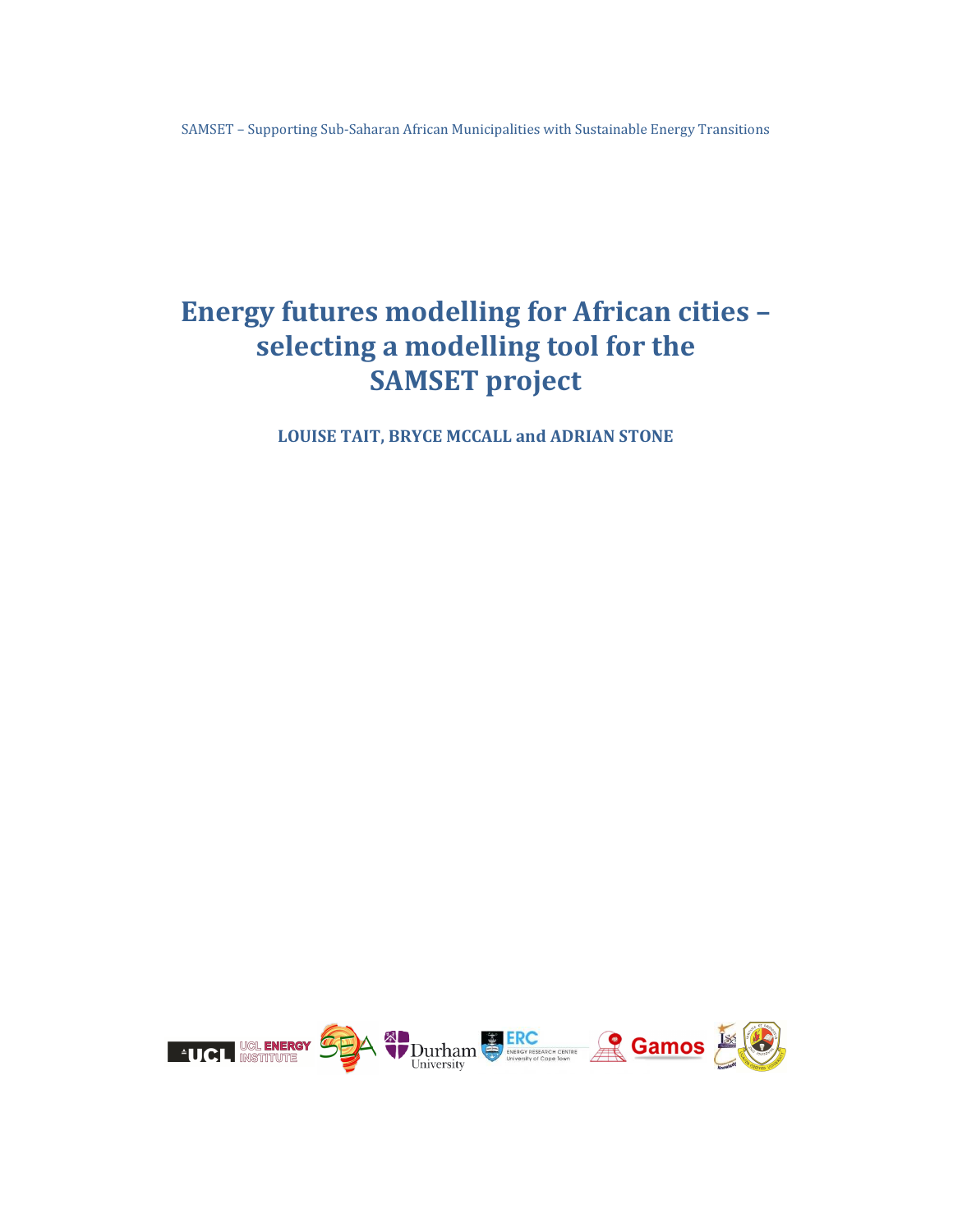SAMSET – Supporting Sub-Saharan African Municipalities with Sustainable Energy Transitions

# Energy futures modelling for African cities selecting a modelling tool for the **SAMSET** project

LOUISE TAIT, BRYCE MCCALL and ADRIAN STONE

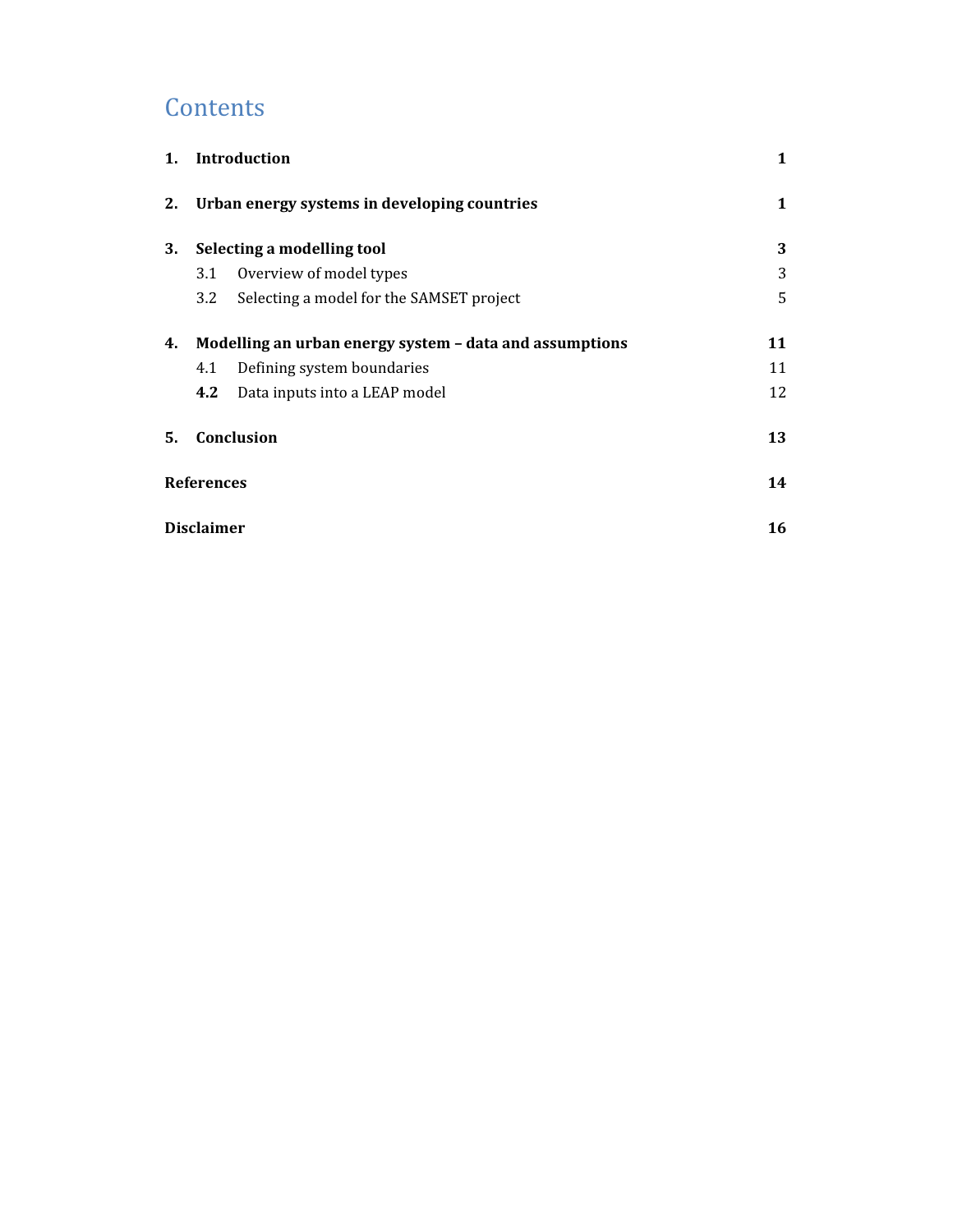# **Contents**

| 1. | <b>Introduction</b>                          |                                                         |    |
|----|----------------------------------------------|---------------------------------------------------------|----|
| 2. | Urban energy systems in developing countries | 1                                                       |    |
| 3. | Selecting a modelling tool                   |                                                         | 3  |
|    | Overview of model types<br>3.1               |                                                         | 3  |
|    | 3.2                                          | Selecting a model for the SAMSET project                | 5  |
| 4. |                                              | Modelling an urban energy system - data and assumptions | 11 |
|    | Defining system boundaries<br>4.1            |                                                         | 11 |
|    | 4.2<br>Data inputs into a LEAP model         |                                                         | 12 |
| 5. | Conclusion                                   |                                                         | 13 |
|    | <b>References</b>                            | 14                                                      |    |
|    | <b>Disclaimer</b>                            |                                                         | 16 |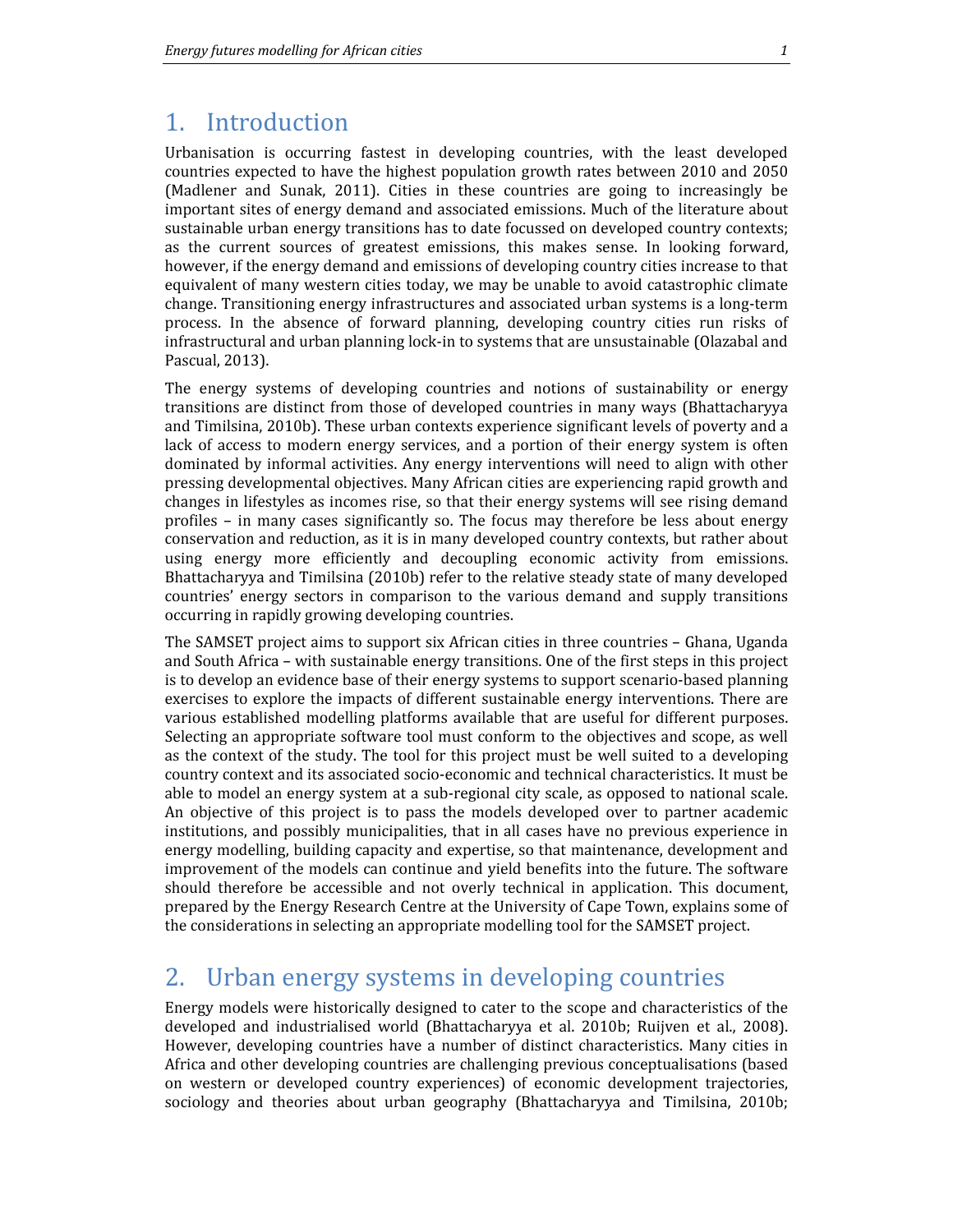### 1. Introduction

Urbanisation is occurring fastest in developing countries, with the least developed countries expected to have the highest population growth rates between 2010 and 2050 (Madlener and Sunak, 2011). Cities in these countries are going to increasingly be important sites of energy demand and associated emissions. Much of the literature about sustainable urban energy transitions has to date focussed on developed country contexts; as the current sources of greatest emissions, this makes sense. In looking forward, however, if the energy demand and emissions of developing country cities increase to that equivalent of many western cities today, we may be unable to avoid catastrophic climate change. Transitioning energy infrastructures and associated urban systems is a long-term process. In the absence of forward planning, developing country cities run risks of infrastructural and urban planning lock-in to systems that are unsustainable (Olazabal and Pascual, 2013).

The energy systems of developing countries and notions of sustainability or energy transitions are distinct from those of developed countries in many ways (Bhattacharyya and Timilsina, 2010b). These urban contexts experience significant levels of poverty and a lack of access to modern energy services, and a portion of their energy system is often dominated by informal activities. Any energy interventions will need to align with other pressing developmental objectives. Many African cities are experiencing rapid growth and changes in lifestyles as incomes rise, so that their energy systems will see rising demand profiles – in many cases significantly so. The focus may therefore be less about energy conservation and reduction, as it is in many developed country contexts, but rather about using energy more efficiently and decoupling economic activity from emissions. Bhattacharyya and Timilsina (2010b) refer to the relative steady state of many developed countries' energy sectors in comparison to the various demand and supply transitions occurring in rapidly growing developing countries.

The SAMSET project aims to support six African cities in three countries – Ghana, Uganda and South Africa – with sustainable energy transitions. One of the first steps in this project is to develop an evidence base of their energy systems to support scenario-based planning exercises to explore the impacts of different sustainable energy interventions. There are various established modelling platforms available that are useful for different purposes. Selecting an appropriate software tool must conform to the objectives and scope, as well as the context of the study. The tool for this project must be well suited to a developing country context and its associated socio-economic and technical characteristics. It must be able to model an energy system at a sub-regional city scale, as opposed to national scale. An objective of this project is to pass the models developed over to partner academic institutions, and possibly municipalities, that in all cases have no previous experience in energy modelling, building capacity and expertise, so that maintenance, development and improvement of the models can continue and yield benefits into the future. The software should therefore be accessible and not overly technical in application. This document, prepared by the Energy Research Centre at the University of Cape Town, explains some of the considerations in selecting an appropriate modelling tool for the SAMSET project.

## 2. Urban energy systems in developing countries

Energy models were historically designed to cater to the scope and characteristics of the developed and industrialised world (Bhattacharyya et al. 2010b; Ruijven et al., 2008). However, developing countries have a number of distinct characteristics. Many cities in Africa and other developing countries are challenging previous conceptualisations (based on western or developed country experiences) of economic development trajectories, sociology and theories about urban geography (Bhattacharyya and Timilsina, 2010b;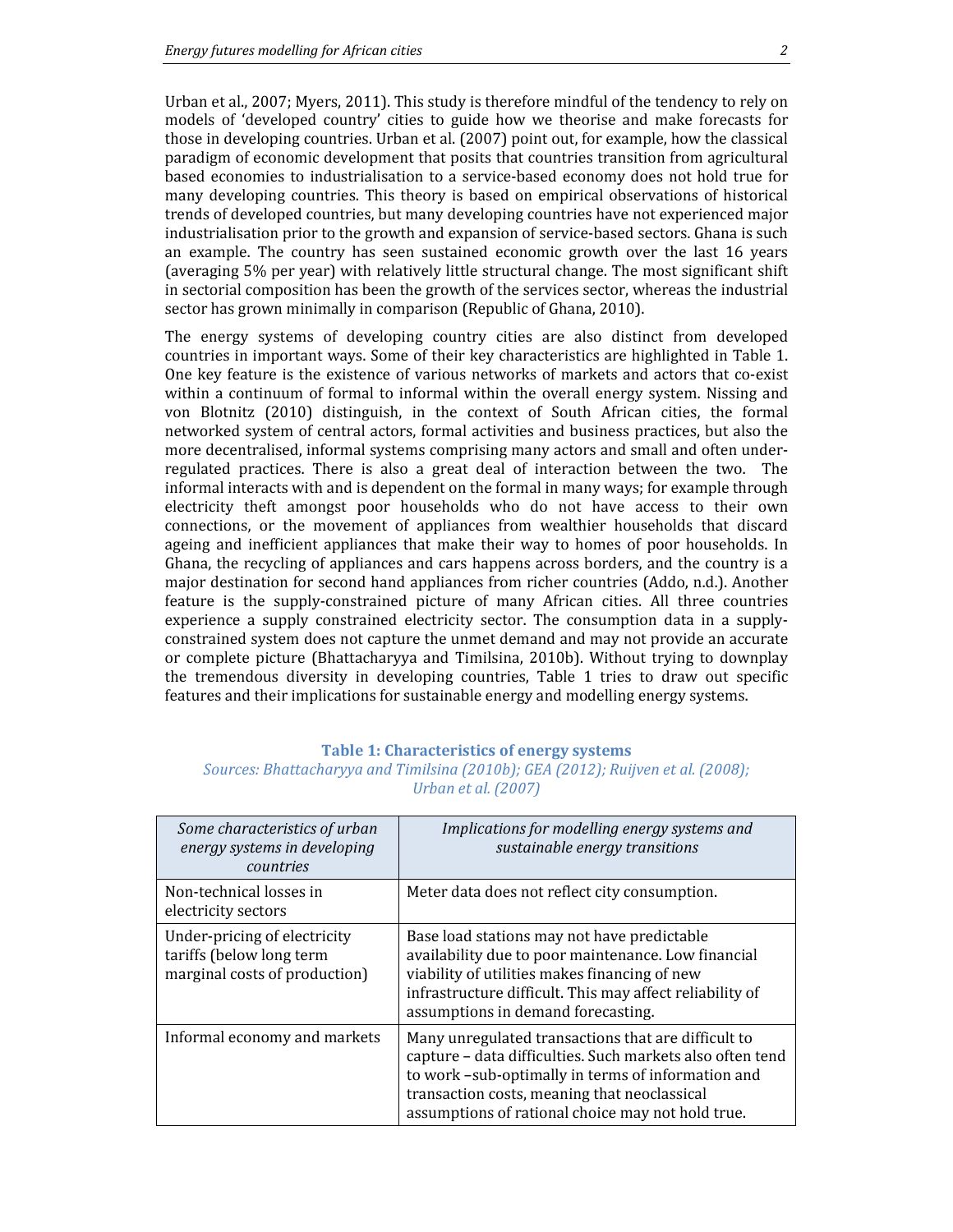Urban et al., 2007; Myers, 2011). This study is therefore mindful of the tendency to rely on models of 'developed country' cities to guide how we theorise and make forecasts for those in developing countries. Urban et al. (2007) point out, for example, how the classical paradigm of economic development that posits that countries transition from agricultural based economies to industrialisation to a service-based economy does not hold true for many developing countries. This theory is based on empirical observations of historical trends of developed countries, but many developing countries have not experienced major industrialisation prior to the growth and expansion of service-based sectors. Ghana is such an example. The country has seen sustained economic growth over the last 16 years (averaging 5% per year) with relatively little structural change. The most significant shift in sectorial composition has been the growth of the services sector, whereas the industrial sector has grown minimally in comparison (Republic of Ghana, 2010).

The energy systems of developing country cities are also distinct from developed countries in important ways. Some of their key characteristics are highlighted in Table 1. One key feature is the existence of various networks of markets and actors that co-exist within a continuum of formal to informal within the overall energy system. Nissing and von Blotnitz (2010) distinguish, in the context of South African cities, the formal networked system of central actors, formal activities and business practices, but also the more decentralised, informal systems comprising many actors and small and often underregulated practices. There is also a great deal of interaction between the two. The informal interacts with and is dependent on the formal in many ways; for example through electricity theft amongst poor households who do not have access to their own connections, or the movement of appliances from wealthier households that discard ageing and inefficient appliances that make their way to homes of poor households. In Ghana, the recycling of appliances and cars happens across borders, and the country is a major destination for second hand appliances from richer countries (Addo, n.d.). Another feature is the supply-constrained picture of many African cities. All three countries experience a supply constrained electricity sector. The consumption data in a supplyconstrained system does not capture the unmet demand and may not provide an accurate or complete picture (Bhattacharyya and Timilsina, 2010b). Without trying to downplay the tremendous diversity in developing countries, Table 1 tries to draw out specific features and their implications for sustainable energy and modelling energy systems.

#### Table 1: Characteristics of energy systems

| Sources: Bhattacharyya and Timilsina (2010b); GEA (2012); Ruijven et al. (2008); |                     |  |
|----------------------------------------------------------------------------------|---------------------|--|
|                                                                                  | Urban et al. (2007) |  |

| Some characteristics of urban<br>energy systems in developing<br>countries                | Implications for modelling energy systems and<br>sustainable energy transitions                                                                                                                                                                                             |
|-------------------------------------------------------------------------------------------|-----------------------------------------------------------------------------------------------------------------------------------------------------------------------------------------------------------------------------------------------------------------------------|
| Non-technical losses in<br>electricity sectors                                            | Meter data does not reflect city consumption.                                                                                                                                                                                                                               |
| Under-pricing of electricity<br>tariffs (below long term<br>marginal costs of production) | Base load stations may not have predictable<br>availability due to poor maintenance. Low financial<br>viability of utilities makes financing of new<br>infrastructure difficult. This may affect reliability of<br>assumptions in demand forecasting.                       |
| Informal economy and markets                                                              | Many unregulated transactions that are difficult to<br>capture - data difficulties. Such markets also often tend<br>to work -sub-optimally in terms of information and<br>transaction costs, meaning that neoclassical<br>assumptions of rational choice may not hold true. |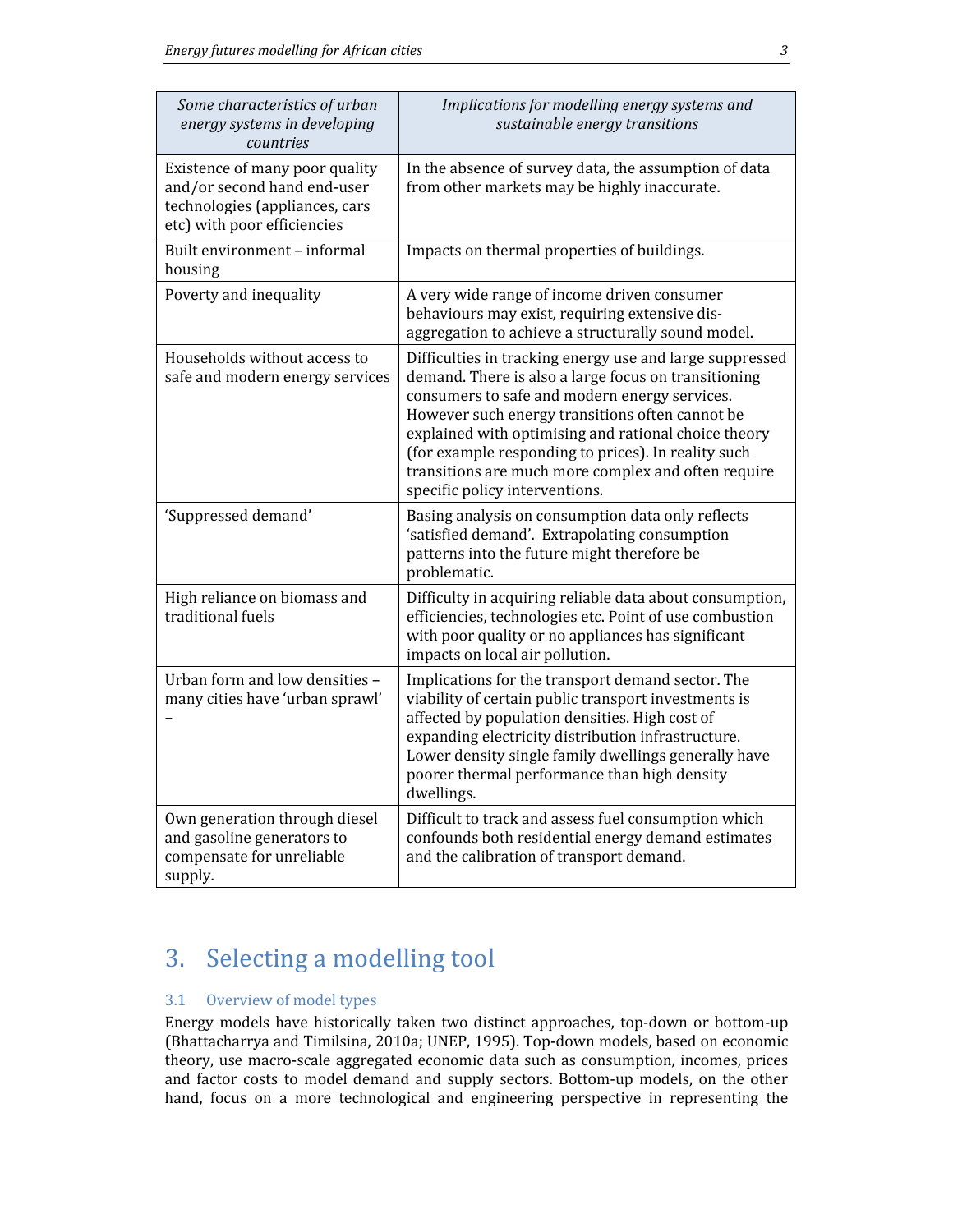| Some characteristics of urban<br>energy systems in developing<br>countries                                                     | Implications for modelling energy systems and<br>sustainable energy transitions                                                                                                                                                                                                                                                                                                                                              |
|--------------------------------------------------------------------------------------------------------------------------------|------------------------------------------------------------------------------------------------------------------------------------------------------------------------------------------------------------------------------------------------------------------------------------------------------------------------------------------------------------------------------------------------------------------------------|
| Existence of many poor quality<br>and/or second hand end-user<br>technologies (appliances, cars<br>etc) with poor efficiencies | In the absence of survey data, the assumption of data<br>from other markets may be highly inaccurate.                                                                                                                                                                                                                                                                                                                        |
| Built environment - informal<br>housing                                                                                        | Impacts on thermal properties of buildings.                                                                                                                                                                                                                                                                                                                                                                                  |
| Poverty and inequality                                                                                                         | A very wide range of income driven consumer<br>behaviours may exist, requiring extensive dis-<br>aggregation to achieve a structurally sound model.                                                                                                                                                                                                                                                                          |
| Households without access to<br>safe and modern energy services                                                                | Difficulties in tracking energy use and large suppressed<br>demand. There is also a large focus on transitioning<br>consumers to safe and modern energy services.<br>However such energy transitions often cannot be<br>explained with optimising and rational choice theory<br>(for example responding to prices). In reality such<br>transitions are much more complex and often require<br>specific policy interventions. |
| 'Suppressed demand'                                                                                                            | Basing analysis on consumption data only reflects<br>'satisfied demand'. Extrapolating consumption<br>patterns into the future might therefore be<br>problematic.                                                                                                                                                                                                                                                            |
| High reliance on biomass and<br>traditional fuels                                                                              | Difficulty in acquiring reliable data about consumption,<br>efficiencies, technologies etc. Point of use combustion<br>with poor quality or no appliances has significant<br>impacts on local air pollution.                                                                                                                                                                                                                 |
| Urban form and low densities -<br>many cities have 'urban sprawl'                                                              | Implications for the transport demand sector. The<br>viability of certain public transport investments is<br>affected by population densities. High cost of<br>expanding electricity distribution infrastructure.<br>Lower density single family dwellings generally have<br>poorer thermal performance than high density<br>dwellings.                                                                                      |
| Own generation through diesel<br>and gasoline generators to<br>compensate for unreliable<br>supply.                            | Difficult to track and assess fuel consumption which<br>confounds both residential energy demand estimates<br>and the calibration of transport demand.                                                                                                                                                                                                                                                                       |

## 3. Selecting a modelling tool

### 3.1 Overview of model types

Energy models have historically taken two distinct approaches, top-down or bottom-up (Bhattacharrya and Timilsina, 2010a; UNEP, 1995). Top-down models, based on economic theory, use macro-scale aggregated economic data such as consumption, incomes, prices and factor costs to model demand and supply sectors. Bottom-up models, on the other hand, focus on a more technological and engineering perspective in representing the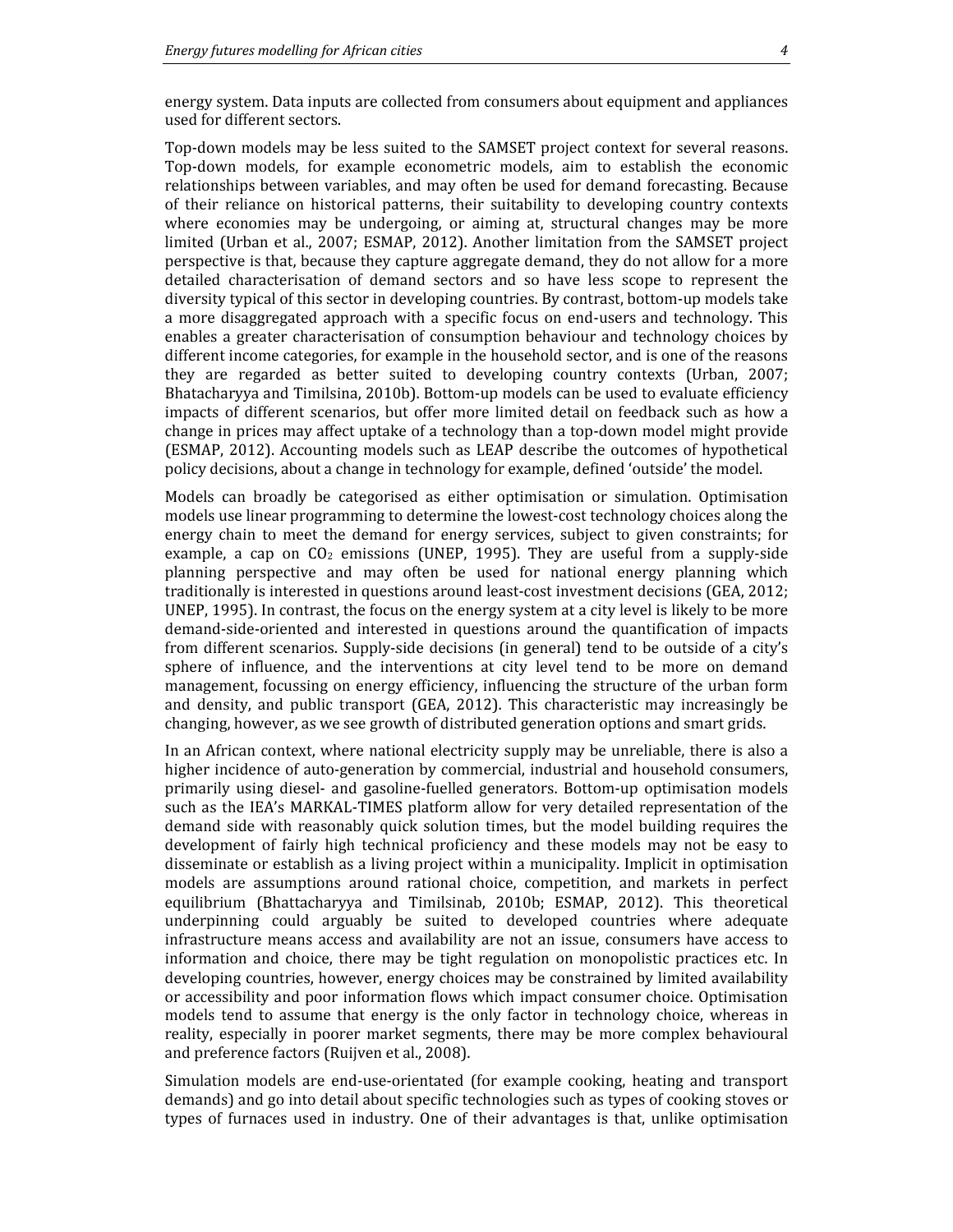energy system. Data inputs are collected from consumers about equipment and appliances used for different sectors.

Top-down models may be less suited to the SAMSET project context for several reasons. Top-down models, for example econometric models, aim to establish the economic relationships between variables, and may often be used for demand forecasting. Because of their reliance on historical patterns, their suitability to developing country contexts where economies may be undergoing, or aiming at, structural changes may be more limited (Urban et al., 2007; ESMAP, 2012). Another limitation from the SAMSET project perspective is that, because they capture aggregate demand, they do not allow for a more detailed characterisation of demand sectors and so have less scope to represent the diversity typical of this sector in developing countries. By contrast, bottom-up models take a more disaggregated approach with a specific focus on end-users and technology. This enables a greater characterisation of consumption behaviour and technology choices by different income categories, for example in the household sector, and is one of the reasons they are regarded as better suited to developing country contexts (Urban, 2007; Bhatacharyya and Timilsina, 2010b). Bottom-up models can be used to evaluate efficiency impacts of different scenarios, but offer more limited detail on feedback such as how a change in prices may affect uptake of a technology than a top-down model might provide (ESMAP, 2012). Accounting models such as LEAP describe the outcomes of hypothetical policy decisions, about a change in technology for example, defined 'outside' the model.

Models can broadly be categorised as either optimisation or simulation. Optimisation models use linear programming to determine the lowest-cost technology choices along the energy chain to meet the demand for energy services, subject to given constraints; for example, a cap on  $CO<sub>2</sub>$  emissions (UNEP, 1995). They are useful from a supply-side planning perspective and may often be used for national energy planning which traditionally is interested in questions around least-cost investment decisions (GEA, 2012; UNEP, 1995). In contrast, the focus on the energy system at a city level is likely to be more demand-side-oriented and interested in questions around the quantification of impacts from different scenarios. Supply-side decisions (in general) tend to be outside of a city's sphere of influence, and the interventions at city level tend to be more on demand management, focussing on energy efficiency, influencing the structure of the urban form and density, and public transport (GEA, 2012). This characteristic may increasingly be changing, however, as we see growth of distributed generation options and smart grids.

In an African context, where national electricity supply may be unreliable, there is also a higher incidence of auto-generation by commercial, industrial and household consumers, primarily using diesel- and gasoline-fuelled generators. Bottom-up optimisation models such as the IEA's MARKAL-TIMES platform allow for very detailed representation of the demand side with reasonably quick solution times, but the model building requires the development of fairly high technical proficiency and these models may not be easy to disseminate or establish as a living project within a municipality. Implicit in optimisation models are assumptions around rational choice, competition, and markets in perfect equilibrium (Bhattacharyya and Timilsinab, 2010b; ESMAP, 2012). This theoretical underpinning could arguably be suited to developed countries where adequate infrastructure means access and availability are not an issue, consumers have access to information and choice, there may be tight regulation on monopolistic practices etc. In developing countries, however, energy choices may be constrained by limited availability or accessibility and poor information flows which impact consumer choice. Optimisation models tend to assume that energy is the only factor in technology choice, whereas in reality, especially in poorer market segments, there may be more complex behavioural and preference factors (Ruijven et al., 2008).

Simulation models are end-use-orientated (for example cooking, heating and transport demands) and go into detail about specific technologies such as types of cooking stoves or types of furnaces used in industry. One of their advantages is that, unlike optimisation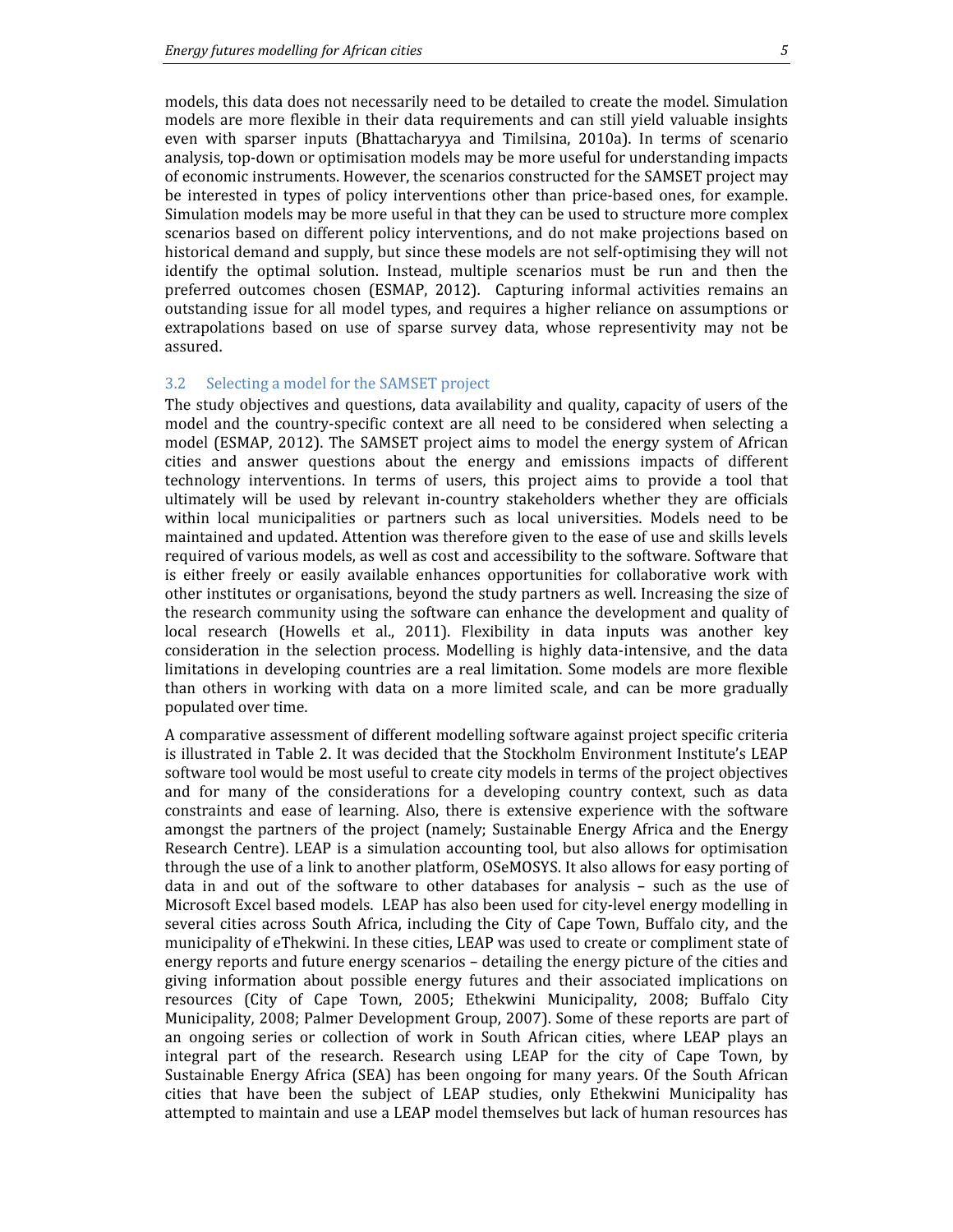models, this data does not necessarily need to be detailed to create the model. Simulation models are more flexible in their data requirements and can still yield valuable insights even with sparser inputs (Bhattacharyya and Timilsina, 2010a). In terms of scenario analysis, top-down or optimisation models may be more useful for understanding impacts of economic instruments. However, the scenarios constructed for the SAMSET project may be interested in types of policy interventions other than price-based ones, for example. Simulation models may be more useful in that they can be used to structure more complex scenarios based on different policy interventions, and do not make projections based on historical demand and supply, but since these models are not self-optimising they will not identify the optimal solution. Instead, multiple scenarios must be run and then the preferred outcomes chosen (ESMAP, 2012). Capturing informal activities remains an outstanding issue for all model types, and requires a higher reliance on assumptions or extrapolations based on use of sparse survey data, whose representivity may not be assured.

#### 3.2 Selecting a model for the SAMSET project

The study objectives and questions, data availability and quality, capacity of users of the model and the country-specific context are all need to be considered when selecting a model (ESMAP, 2012). The SAMSET project aims to model the energy system of African cities and answer questions about the energy and emissions impacts of different technology interventions. In terms of users, this project aims to provide a tool that ultimately will be used by relevant in-country stakeholders whether they are officials within local municipalities or partners such as local universities. Models need to be maintained and updated. Attention was therefore given to the ease of use and skills levels required of various models, as well as cost and accessibility to the software. Software that is either freely or easily available enhances opportunities for collaborative work with other institutes or organisations, beyond the study partners as well. Increasing the size of the research community using the software can enhance the development and quality of local research (Howells et al., 2011). Flexibility in data inputs was another key consideration in the selection process. Modelling is highly data-intensive, and the data limitations in developing countries are a real limitation. Some models are more flexible than others in working with data on a more limited scale, and can be more gradually populated over time.

A comparative assessment of different modelling software against project specific criteria is illustrated in Table 2. It was decided that the Stockholm Environment Institute's LEAP software tool would be most useful to create city models in terms of the project objectives and for many of the considerations for a developing country context, such as data constraints and ease of learning. Also, there is extensive experience with the software amongst the partners of the project (namely; Sustainable Energy Africa and the Energy Research Centre). LEAP is a simulation accounting tool, but also allows for optimisation through the use of a link to another platform, OSeMOSYS. It also allows for easy porting of data in and out of the software to other databases for analysis – such as the use of Microsoft Excel based models. LEAP has also been used for city-level energy modelling in several cities across South Africa, including the City of Cape Town, Buffalo city, and the municipality of eThekwini. In these cities, LEAP was used to create or compliment state of energy reports and future energy scenarios – detailing the energy picture of the cities and giving information about possible energy futures and their associated implications on resources (City of Cape Town, 2005; Ethekwini Municipality, 2008; Buffalo City Municipality, 2008; Palmer Development Group, 2007). Some of these reports are part of an ongoing series or collection of work in South African cities, where LEAP plays an integral part of the research. Research using LEAP for the city of Cape Town, by Sustainable Energy Africa (SEA) has been ongoing for many years. Of the South African cities that have been the subject of LEAP studies, only Ethekwini Municipality has attempted to maintain and use a LEAP model themselves but lack of human resources has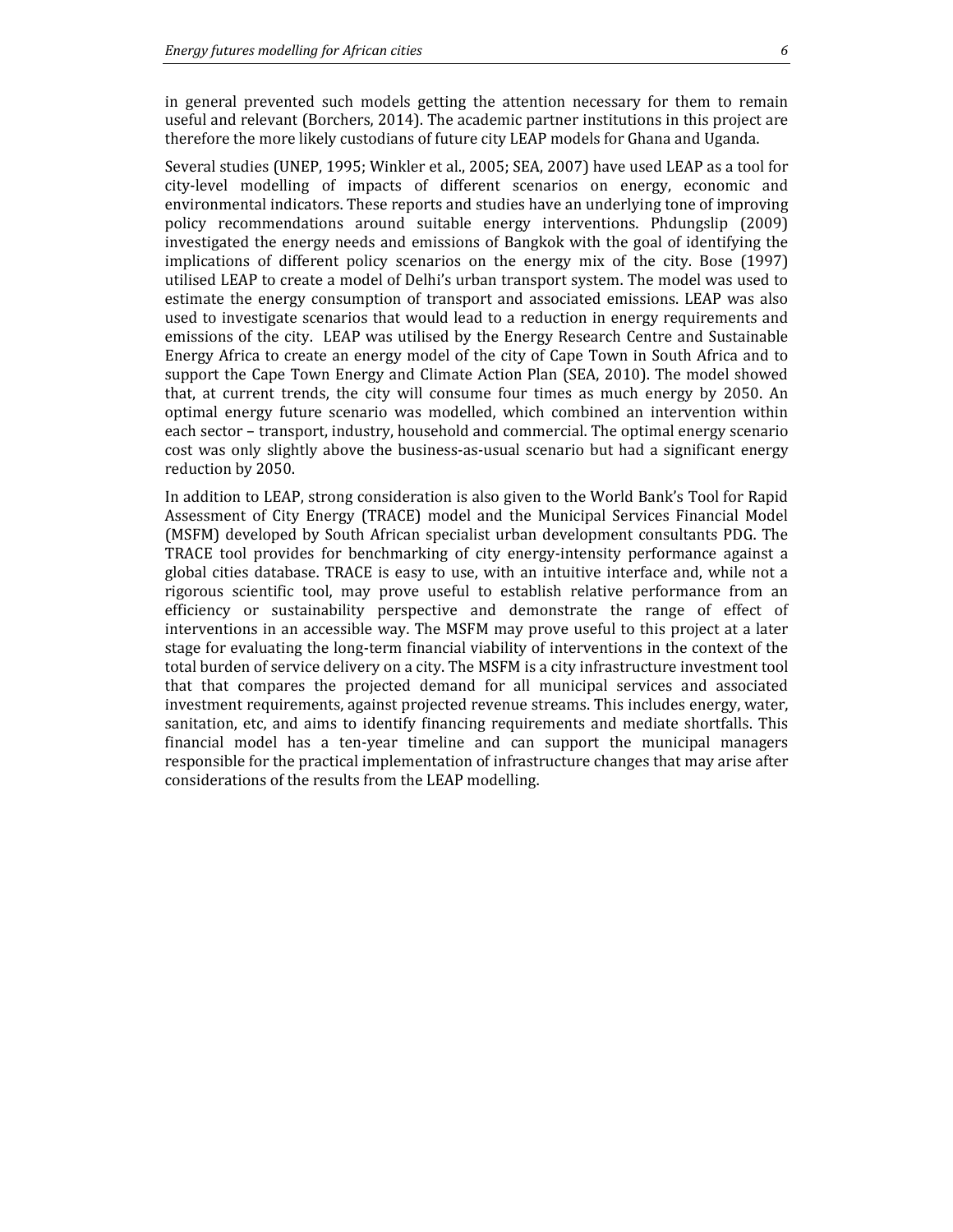in general prevented such models getting the attention necessary for them to remain useful and relevant (Borchers, 2014). The academic partner institutions in this project are therefore the more likely custodians of future city LEAP models for Ghana and Uganda.

Several studies (UNEP, 1995; Winkler et al., 2005; SEA, 2007) have used LEAP as a tool for city-level modelling of impacts of different scenarios on energy, economic and environmental indicators. These reports and studies have an underlying tone of improving policy recommendations around suitable energy interventions. Phdungslip (2009) investigated the energy needs and emissions of Bangkok with the goal of identifying the implications of different policy scenarios on the energy mix of the city. Bose (1997) utilised LEAP to create a model of Delhi's urban transport system. The model was used to estimate the energy consumption of transport and associated emissions. LEAP was also used to investigate scenarios that would lead to a reduction in energy requirements and emissions of the city. LEAP was utilised by the Energy Research Centre and Sustainable Energy Africa to create an energy model of the city of Cape Town in South Africa and to support the Cape Town Energy and Climate Action Plan (SEA, 2010). The model showed that, at current trends, the city will consume four times as much energy by 2050. An optimal energy future scenario was modelled, which combined an intervention within each sector – transport, industry, household and commercial. The optimal energy scenario cost was only slightly above the business-as-usual scenario but had a significant energy reduction by 2050.

In addition to LEAP, strong consideration is also given to the World Bank's Tool for Rapid Assessment of City Energy (TRACE) model and the Municipal Services Financial Model (MSFM) developed by South African specialist urban development consultants PDG. The TRACE tool provides for benchmarking of city energy-intensity performance against a global cities database. TRACE is easy to use, with an intuitive interface and, while not a rigorous scientific tool, may prove useful to establish relative performance from an efficiency or sustainability perspective and demonstrate the range of effect of interventions in an accessible way. The MSFM may prove useful to this project at a later stage for evaluating the long-term financial viability of interventions in the context of the total burden of service delivery on a city. The MSFM is a city infrastructure investment tool that that compares the projected demand for all municipal services and associated investment requirements, against projected revenue streams. This includes energy, water, sanitation, etc, and aims to identify financing requirements and mediate shortfalls. This financial model has a ten-year timeline and can support the municipal managers responsible for the practical implementation of infrastructure changes that may arise after considerations of the results from the LEAP modelling.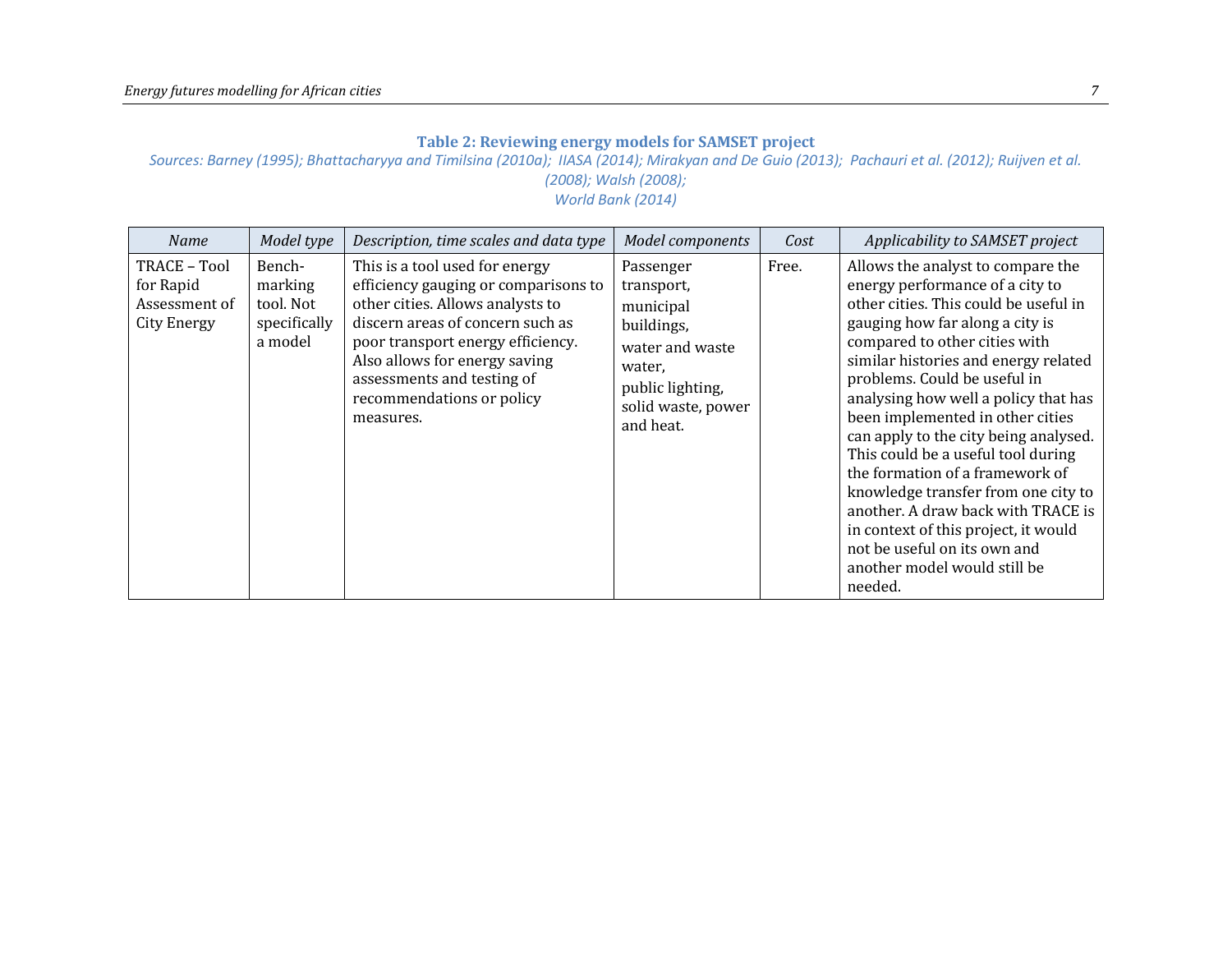### Table 2: Reviewing energy models for SAMSET project

Sources: Barney (1995); Bhattacharyya and Timilsina (2010a); IIASA (2014); Mirakyan and De Guio (2013); Pachauri et al. (2012); Ruijven et al. (2008); Walsh (2008);

World Bank (2014)

| <b>Name</b>                                                      | Model type                                                | Description, time scales and data type                                                                                                                                                                                                                                                       | Model components                                                                                                                       | Cost  | Applicability to SAMSET project                                                                                                                                                                                                                                                                                                                                                                                                                                                                                                                                                                                                                         |
|------------------------------------------------------------------|-----------------------------------------------------------|----------------------------------------------------------------------------------------------------------------------------------------------------------------------------------------------------------------------------------------------------------------------------------------------|----------------------------------------------------------------------------------------------------------------------------------------|-------|---------------------------------------------------------------------------------------------------------------------------------------------------------------------------------------------------------------------------------------------------------------------------------------------------------------------------------------------------------------------------------------------------------------------------------------------------------------------------------------------------------------------------------------------------------------------------------------------------------------------------------------------------------|
| TRACE - Tool<br>for Rapid<br>Assessment of<br><b>City Energy</b> | Bench-<br>marking<br>tool. Not<br>specifically<br>a model | This is a tool used for energy<br>efficiency gauging or comparisons to<br>other cities. Allows analysts to<br>discern areas of concern such as<br>poor transport energy efficiency.<br>Also allows for energy saving<br>assessments and testing of<br>recommendations or policy<br>measures. | Passenger<br>transport,<br>municipal<br>buildings,<br>water and waste<br>water,<br>public lighting,<br>solid waste, power<br>and heat. | Free. | Allows the analyst to compare the<br>energy performance of a city to<br>other cities. This could be useful in<br>gauging how far along a city is<br>compared to other cities with<br>similar histories and energy related<br>problems. Could be useful in<br>analysing how well a policy that has<br>been implemented in other cities<br>can apply to the city being analysed.<br>This could be a useful tool during<br>the formation of a framework of<br>knowledge transfer from one city to<br>another. A draw back with TRACE is<br>in context of this project, it would<br>not be useful on its own and<br>another model would still be<br>needed. |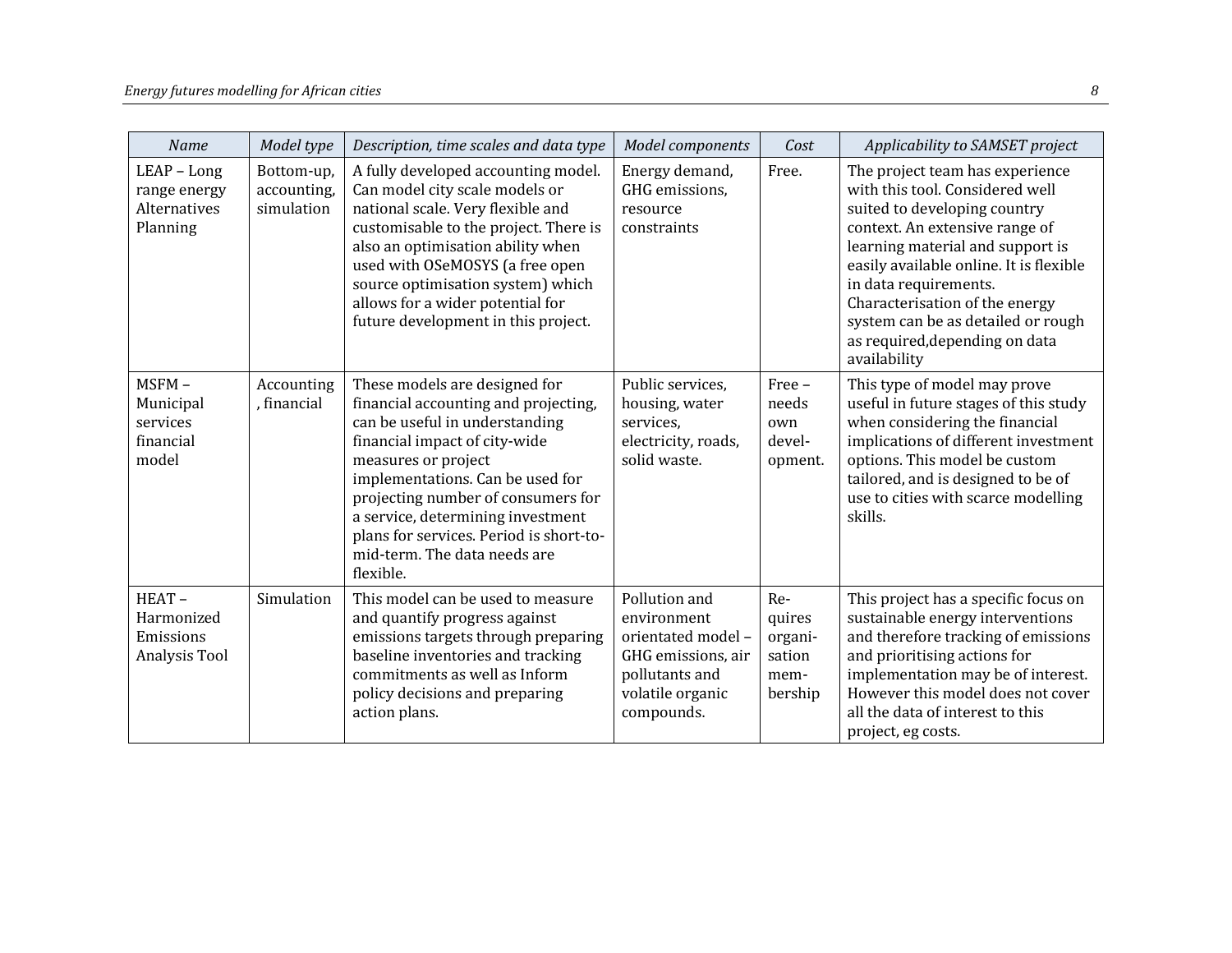| Name                                                      | Model type                              | Description, time scales and data type                                                                                                                                                                                                                                                                                                                                 | Model components                                                                                                             | Cost                                                  | Applicability to SAMSET project                                                                                                                                                                                                                                                                                                                                        |
|-----------------------------------------------------------|-----------------------------------------|------------------------------------------------------------------------------------------------------------------------------------------------------------------------------------------------------------------------------------------------------------------------------------------------------------------------------------------------------------------------|------------------------------------------------------------------------------------------------------------------------------|-------------------------------------------------------|------------------------------------------------------------------------------------------------------------------------------------------------------------------------------------------------------------------------------------------------------------------------------------------------------------------------------------------------------------------------|
| $LEAP - Long$<br>range energy<br>Alternatives<br>Planning | Bottom-up,<br>accounting,<br>simulation | A fully developed accounting model.<br>Can model city scale models or<br>national scale. Very flexible and<br>customisable to the project. There is<br>also an optimisation ability when<br>used with OSeMOSYS (a free open<br>source optimisation system) which<br>allows for a wider potential for<br>future development in this project.                            | Energy demand,<br>GHG emissions,<br>resource<br>constraints                                                                  | Free.                                                 | The project team has experience<br>with this tool. Considered well<br>suited to developing country<br>context. An extensive range of<br>learning material and support is<br>easily available online. It is flexible<br>in data requirements.<br>Characterisation of the energy<br>system can be as detailed or rough<br>as required, depending on data<br>availability |
| MSFM-<br>Municipal<br>services<br>financial<br>model      | Accounting<br>, financial               | These models are designed for<br>financial accounting and projecting,<br>can be useful in understanding<br>financial impact of city-wide<br>measures or project<br>implementations. Can be used for<br>projecting number of consumers for<br>a service, determining investment<br>plans for services. Period is short-to-<br>mid-term. The data needs are<br>flexible. | Public services,<br>housing, water<br>services,<br>electricity, roads,<br>solid waste.                                       | Free -<br>needs<br>own<br>devel-<br>opment.           | This type of model may prove<br>useful in future stages of this study<br>when considering the financial<br>implications of different investment<br>options. This model be custom<br>tailored, and is designed to be of<br>use to cities with scarce modelling<br>skills.                                                                                               |
| HEAT-<br>Harmonized<br>Emissions<br>Analysis Tool         | Simulation                              | This model can be used to measure<br>and quantify progress against<br>emissions targets through preparing<br>baseline inventories and tracking<br>commitments as well as Inform<br>policy decisions and preparing<br>action plans.                                                                                                                                     | Pollution and<br>environment<br>orientated model -<br>GHG emissions, air<br>pollutants and<br>volatile organic<br>compounds. | Re-<br>quires<br>organi-<br>sation<br>mem-<br>bership | This project has a specific focus on<br>sustainable energy interventions<br>and therefore tracking of emissions<br>and prioritising actions for<br>implementation may be of interest.<br>However this model does not cover<br>all the data of interest to this<br>project, eg costs.                                                                                   |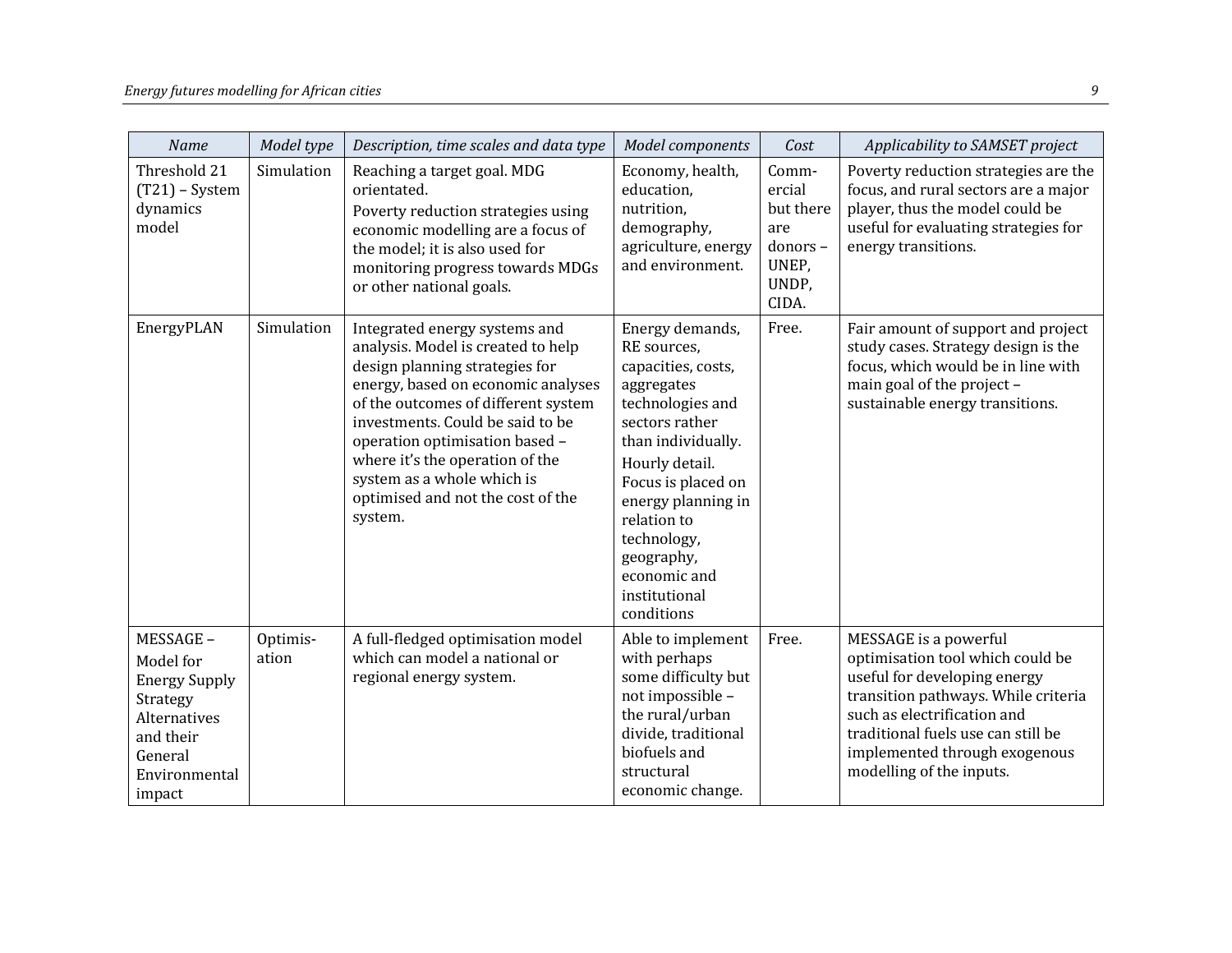| Name                                                                                                                         | Model type        | Description, time scales and data type                                                                                                                                                                                                                                                                                                                                    | Model components                                                                                                                                                                                                                                                                        | Cost                                                                      | Applicability to SAMSET project                                                                                                                                                                                                                                    |
|------------------------------------------------------------------------------------------------------------------------------|-------------------|---------------------------------------------------------------------------------------------------------------------------------------------------------------------------------------------------------------------------------------------------------------------------------------------------------------------------------------------------------------------------|-----------------------------------------------------------------------------------------------------------------------------------------------------------------------------------------------------------------------------------------------------------------------------------------|---------------------------------------------------------------------------|--------------------------------------------------------------------------------------------------------------------------------------------------------------------------------------------------------------------------------------------------------------------|
| Threshold 21<br>$(T21)$ – System<br>dynamics<br>model                                                                        | Simulation        | Reaching a target goal. MDG<br>orientated.<br>Poverty reduction strategies using<br>economic modelling are a focus of<br>the model; it is also used for<br>monitoring progress towards MDGs<br>or other national goals.                                                                                                                                                   | Economy, health,<br>education,<br>nutrition,<br>demography,<br>agriculture, energy<br>and environment.                                                                                                                                                                                  | Comm-<br>ercial<br>but there<br>are<br>donors-<br>UNEP,<br>UNDP,<br>CIDA. | Poverty reduction strategies are the<br>focus, and rural sectors are a major<br>player, thus the model could be<br>useful for evaluating strategies for<br>energy transitions.                                                                                     |
| EnergyPLAN                                                                                                                   | Simulation        | Integrated energy systems and<br>analysis. Model is created to help<br>design planning strategies for<br>energy, based on economic analyses<br>of the outcomes of different system<br>investments. Could be said to be<br>operation optimisation based -<br>where it's the operation of the<br>system as a whole which is<br>optimised and not the cost of the<br>system. | Energy demands,<br>RE sources,<br>capacities, costs,<br>aggregates<br>technologies and<br>sectors rather<br>than individually.<br>Hourly detail.<br>Focus is placed on<br>energy planning in<br>relation to<br>technology,<br>geography,<br>economic and<br>institutional<br>conditions | Free.                                                                     | Fair amount of support and project<br>study cases. Strategy design is the<br>focus, which would be in line with<br>main goal of the project -<br>sustainable energy transitions.                                                                                   |
| MESSAGE-<br>Model for<br><b>Energy Supply</b><br>Strategy<br>Alternatives<br>and their<br>General<br>Environmental<br>impact | Optimis-<br>ation | A full-fledged optimisation model<br>which can model a national or<br>regional energy system.                                                                                                                                                                                                                                                                             | Able to implement<br>with perhaps<br>some difficulty but<br>not impossible -<br>the rural/urban<br>divide, traditional<br>biofuels and<br>structural<br>economic change.                                                                                                                | Free.                                                                     | MESSAGE is a powerful<br>optimisation tool which could be<br>useful for developing energy<br>transition pathways. While criteria<br>such as electrification and<br>traditional fuels use can still be<br>implemented through exogenous<br>modelling of the inputs. |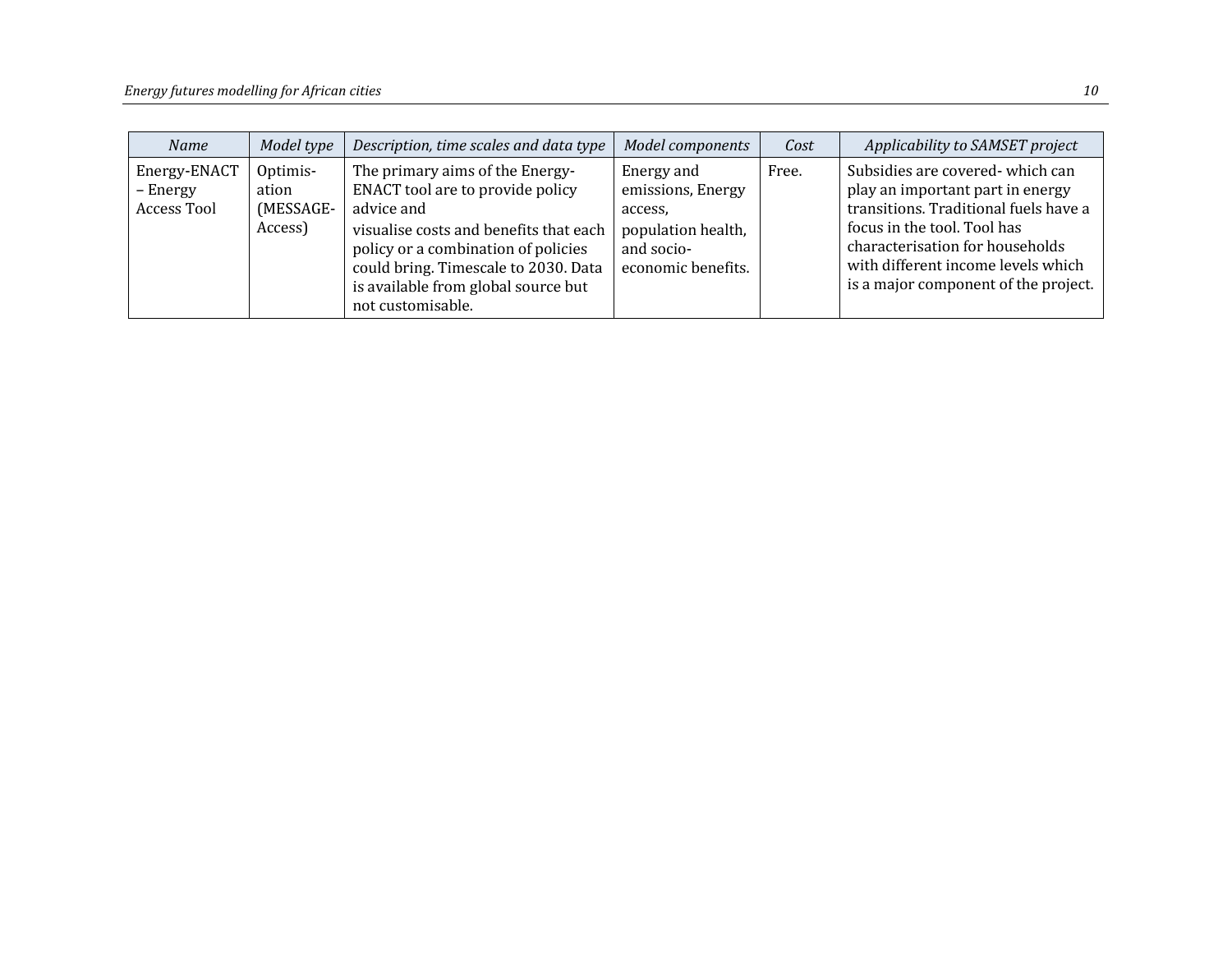| <b>Name</b>                             | Model type                                | Description, time scales and data type                                                                                                                                                                                                                                 | <b>Model components</b>                                                                              | Cost  | Applicability to SAMSET project                                                                                                                                                                                                                              |
|-----------------------------------------|-------------------------------------------|------------------------------------------------------------------------------------------------------------------------------------------------------------------------------------------------------------------------------------------------------------------------|------------------------------------------------------------------------------------------------------|-------|--------------------------------------------------------------------------------------------------------------------------------------------------------------------------------------------------------------------------------------------------------------|
| Energy-ENACT<br>– Energy<br>Access Tool | Optimis-<br>ation<br>(MESSAGE-<br>Access) | The primary aims of the Energy-<br>ENACT tool are to provide policy<br>advice and<br>visualise costs and benefits that each<br>policy or a combination of policies<br>could bring. Timescale to 2030. Data<br>is available from global source but<br>not customisable. | Energy and<br>emissions, Energy<br>access,<br>population health,<br>and socio-<br>economic benefits. | Free. | Subsidies are covered-which can<br>play an important part in energy<br>transitions. Traditional fuels have a<br>focus in the tool. Tool has<br>characterisation for households<br>with different income levels which<br>is a major component of the project. |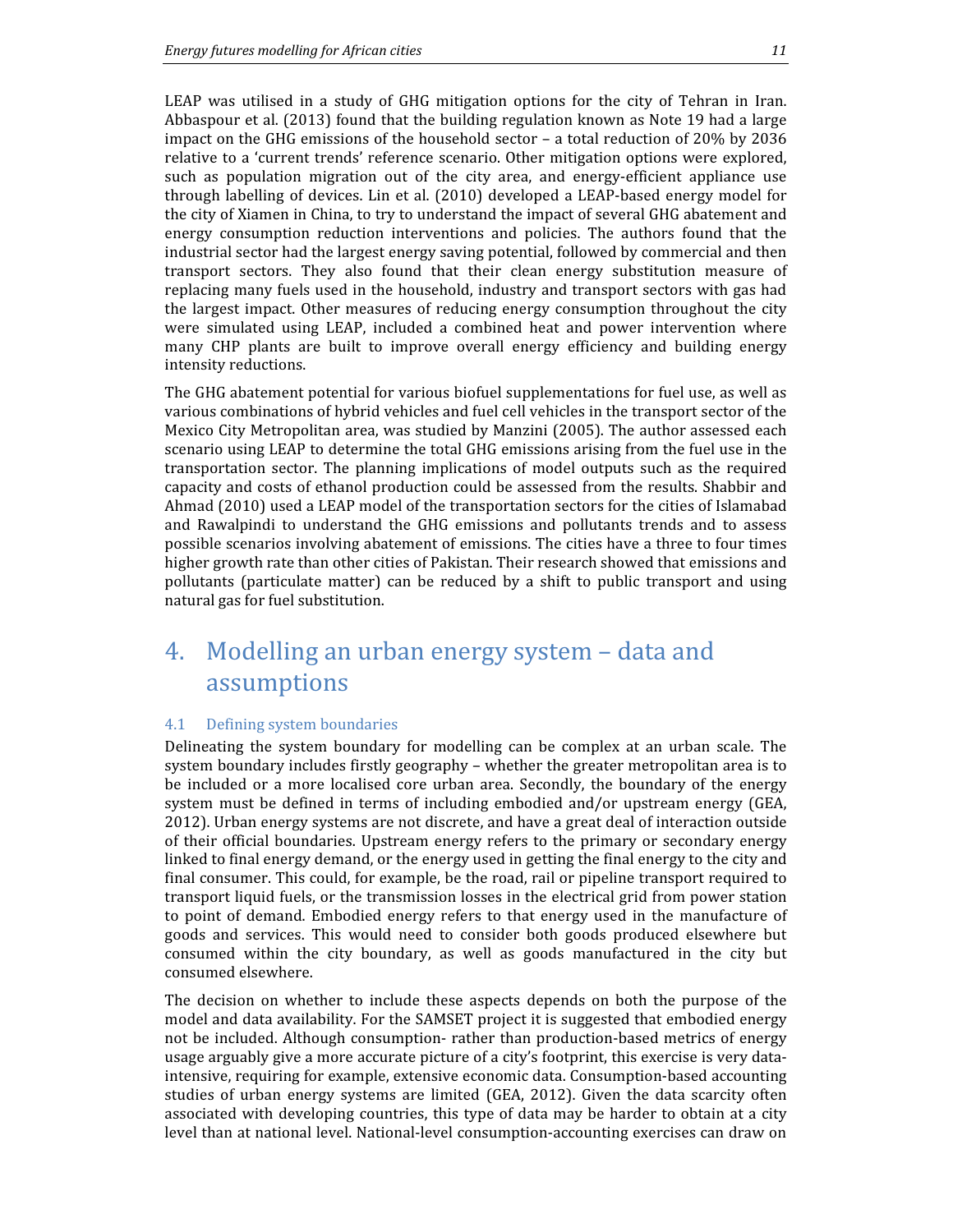LEAP was utilised in a study of GHG mitigation options for the city of Tehran in Iran. Abbaspour et al. (2013) found that the building regulation known as Note 19 had a large impact on the GHG emissions of the household sector – a total reduction of 20% by 2036 relative to a 'current trends' reference scenario. Other mitigation options were explored, such as population migration out of the city area, and energy-efficient appliance use through labelling of devices. Lin et al. (2010) developed a LEAP-based energy model for the city of Xiamen in China, to try to understand the impact of several GHG abatement and energy consumption reduction interventions and policies. The authors found that the industrial sector had the largest energy saving potential, followed by commercial and then transport sectors. They also found that their clean energy substitution measure of replacing many fuels used in the household, industry and transport sectors with gas had the largest impact. Other measures of reducing energy consumption throughout the city were simulated using LEAP, included a combined heat and power intervention where many CHP plants are built to improve overall energy efficiency and building energy intensity reductions.

The GHG abatement potential for various biofuel supplementations for fuel use, as well as various combinations of hybrid vehicles and fuel cell vehicles in the transport sector of the Mexico City Metropolitan area, was studied by Manzini (2005). The author assessed each scenario using LEAP to determine the total GHG emissions arising from the fuel use in the transportation sector. The planning implications of model outputs such as the required capacity and costs of ethanol production could be assessed from the results. Shabbir and Ahmad (2010) used a LEAP model of the transportation sectors for the cities of Islamabad and Rawalpindi to understand the GHG emissions and pollutants trends and to assess possible scenarios involving abatement of emissions. The cities have a three to four times higher growth rate than other cities of Pakistan. Their research showed that emissions and pollutants (particulate matter) can be reduced by a shift to public transport and using natural gas for fuel substitution.

## 4. Modelling an urban energy system – data and assumptions

### 4.1 Defining system boundaries

Delineating the system boundary for modelling can be complex at an urban scale. The system boundary includes firstly geography – whether the greater metropolitan area is to be included or a more localised core urban area. Secondly, the boundary of the energy system must be defined in terms of including embodied and/or upstream energy (GEA, 2012). Urban energy systems are not discrete, and have a great deal of interaction outside of their official boundaries. Upstream energy refers to the primary or secondary energy linked to final energy demand, or the energy used in getting the final energy to the city and final consumer. This could, for example, be the road, rail or pipeline transport required to transport liquid fuels, or the transmission losses in the electrical grid from power station to point of demand. Embodied energy refers to that energy used in the manufacture of goods and services. This would need to consider both goods produced elsewhere but consumed within the city boundary, as well as goods manufactured in the city but consumed elsewhere.

The decision on whether to include these aspects depends on both the purpose of the model and data availability. For the SAMSET project it is suggested that embodied energy not be included. Although consumption- rather than production-based metrics of energy usage arguably give a more accurate picture of a city's footprint, this exercise is very dataintensive, requiring for example, extensive economic data. Consumption-based accounting studies of urban energy systems are limited (GEA, 2012). Given the data scarcity often associated with developing countries, this type of data may be harder to obtain at a city level than at national level. National-level consumption-accounting exercises can draw on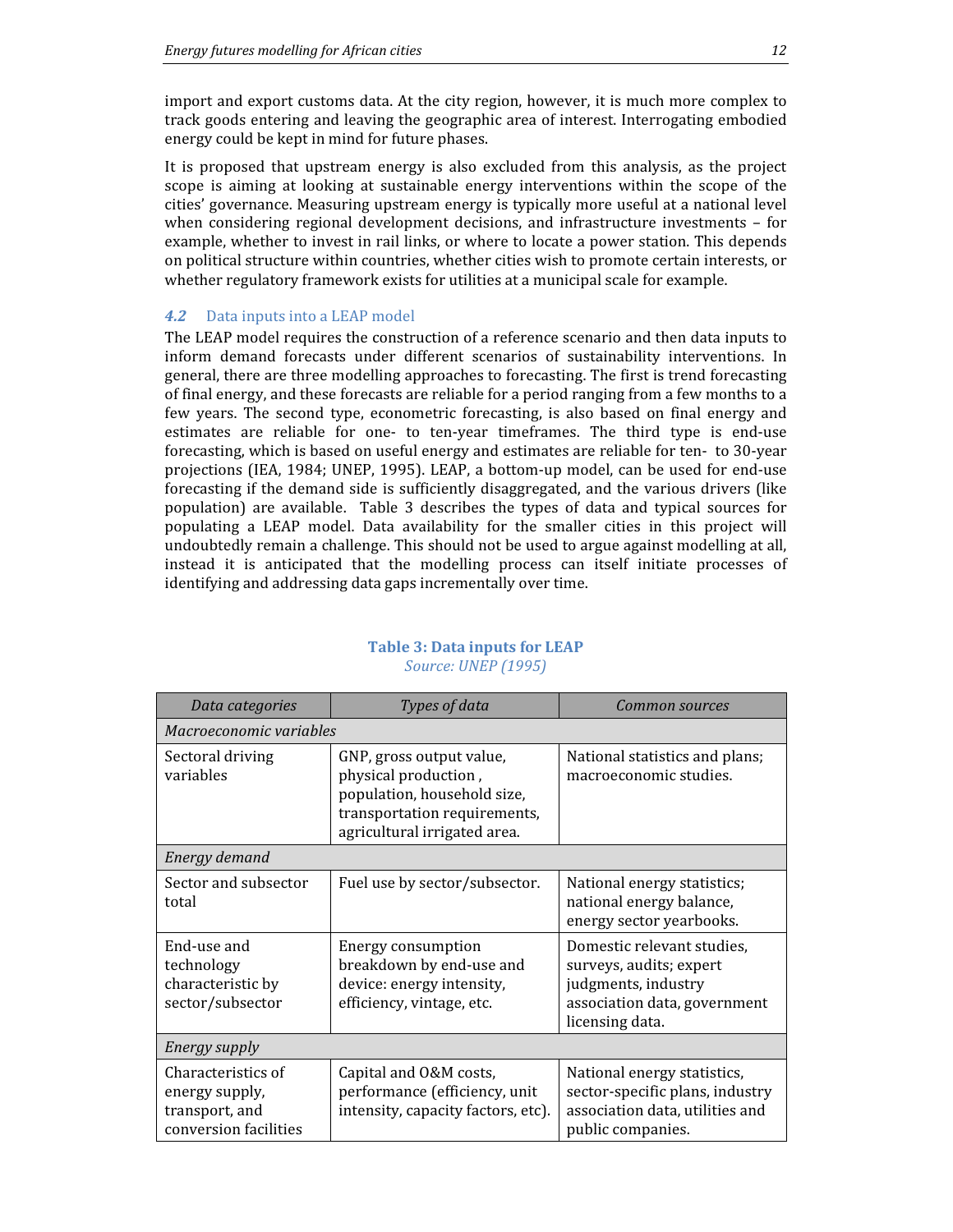import and export customs data. At the city region, however, it is much more complex to track goods entering and leaving the geographic area of interest. Interrogating embodied energy could be kept in mind for future phases.

It is proposed that upstream energy is also excluded from this analysis, as the project scope is aiming at looking at sustainable energy interventions within the scope of the cities' governance. Measuring upstream energy is typically more useful at a national level when considering regional development decisions, and infrastructure investments – for example, whether to invest in rail links, or where to locate a power station. This depends on political structure within countries, whether cities wish to promote certain interests, or whether regulatory framework exists for utilities at a municipal scale for example.

### 4.2 Data inputs into a LEAP model

The LEAP model requires the construction of a reference scenario and then data inputs to inform demand forecasts under different scenarios of sustainability interventions. In general, there are three modelling approaches to forecasting. The first is trend forecasting of final energy, and these forecasts are reliable for a period ranging from a few months to a few years. The second type, econometric forecasting, is also based on final energy and estimates are reliable for one- to ten-year timeframes. The third type is end-use forecasting, which is based on useful energy and estimates are reliable for ten- to 30-year projections (IEA, 1984; UNEP, 1995). LEAP, a bottom-up model, can be used for end-use forecasting if the demand side is sufficiently disaggregated, and the various drivers (like population) are available. Table 3 describes the types of data and typical sources for populating a LEAP model. Data availability for the smaller cities in this project will undoubtedly remain a challenge. This should not be used to argue against modelling at all, instead it is anticipated that the modelling process can itself initiate processes of identifying and addressing data gaps incrementally over time.

| Data categories                                                                 | Types of data                                                                                                                                   | Common sources                                                                                                                  |  |  |  |  |
|---------------------------------------------------------------------------------|-------------------------------------------------------------------------------------------------------------------------------------------------|---------------------------------------------------------------------------------------------------------------------------------|--|--|--|--|
| Macroeconomic variables                                                         |                                                                                                                                                 |                                                                                                                                 |  |  |  |  |
| Sectoral driving<br>variables                                                   | GNP, gross output value,<br>physical production,<br>population, household size,<br>transportation requirements,<br>agricultural irrigated area. | National statistics and plans;<br>macroeconomic studies.                                                                        |  |  |  |  |
| Energy demand                                                                   |                                                                                                                                                 |                                                                                                                                 |  |  |  |  |
| Sector and subsector<br>total                                                   | Fuel use by sector/subsector.                                                                                                                   | National energy statistics;<br>national energy balance,<br>energy sector yearbooks.                                             |  |  |  |  |
| End-use and<br>technology<br>characteristic by<br>sector/subsector              | Energy consumption<br>breakdown by end-use and<br>device: energy intensity,<br>efficiency, vintage, etc.                                        | Domestic relevant studies,<br>surveys, audits; expert<br>judgments, industry<br>association data, government<br>licensing data. |  |  |  |  |
| Energy supply                                                                   |                                                                                                                                                 |                                                                                                                                 |  |  |  |  |
| Characteristics of<br>energy supply,<br>transport, and<br>conversion facilities | Capital and O&M costs,<br>performance (efficiency, unit<br>intensity, capacity factors, etc).                                                   | National energy statistics,<br>sector-specific plans, industry<br>association data, utilities and<br>public companies.          |  |  |  |  |

### Table 3: Data inputs for LEAP Source: UNEP (1995)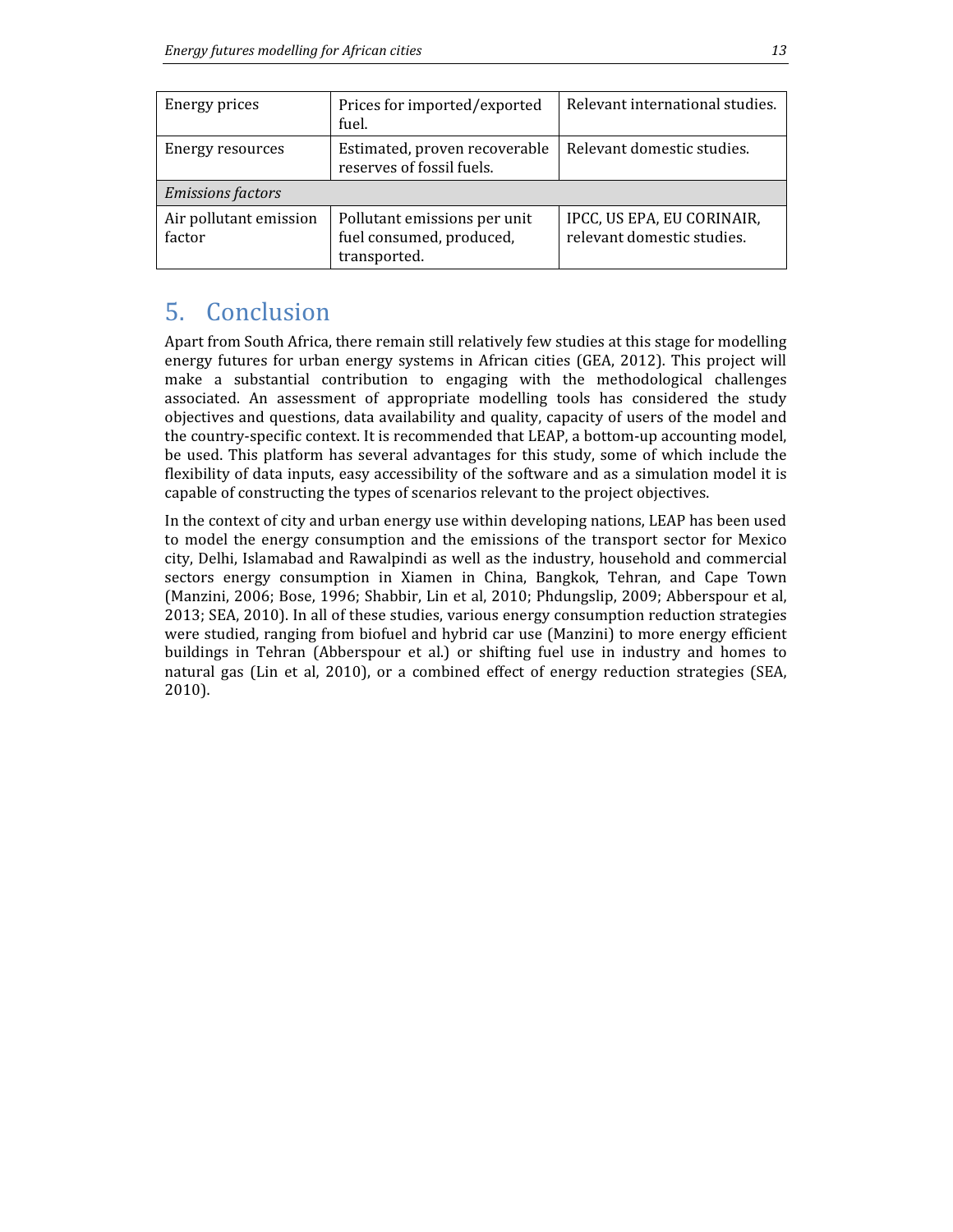| Energy prices                    | Prices for imported/exported<br>fuel.                                    | Relevant international studies.                          |  |  |  |
|----------------------------------|--------------------------------------------------------------------------|----------------------------------------------------------|--|--|--|
| Energy resources                 | Estimated, proven recoverable<br>reserves of fossil fuels.               | Relevant domestic studies.                               |  |  |  |
| <b>Emissions factors</b>         |                                                                          |                                                          |  |  |  |
| Air pollutant emission<br>factor | Pollutant emissions per unit<br>fuel consumed, produced,<br>transported. | IPCC, US EPA, EU CORINAIR,<br>relevant domestic studies. |  |  |  |

## 5. Conclusion

Apart from South Africa, there remain still relatively few studies at this stage for modelling energy futures for urban energy systems in African cities (GEA, 2012). This project will make a substantial contribution to engaging with the methodological challenges associated. An assessment of appropriate modelling tools has considered the study objectives and questions, data availability and quality, capacity of users of the model and the country-specific context. It is recommended that LEAP, a bottom-up accounting model, be used. This platform has several advantages for this study, some of which include the flexibility of data inputs, easy accessibility of the software and as a simulation model it is capable of constructing the types of scenarios relevant to the project objectives.

In the context of city and urban energy use within developing nations, LEAP has been used to model the energy consumption and the emissions of the transport sector for Mexico city, Delhi, Islamabad and Rawalpindi as well as the industry, household and commercial sectors energy consumption in Xiamen in China, Bangkok, Tehran, and Cape Town (Manzini, 2006; Bose, 1996; Shabbir, Lin et al, 2010; Phdungslip, 2009; Abberspour et al, 2013; SEA, 2010). In all of these studies, various energy consumption reduction strategies were studied, ranging from biofuel and hybrid car use (Manzini) to more energy efficient buildings in Tehran (Abberspour et al.) or shifting fuel use in industry and homes to natural gas (Lin et al, 2010), or a combined effect of energy reduction strategies (SEA, 2010).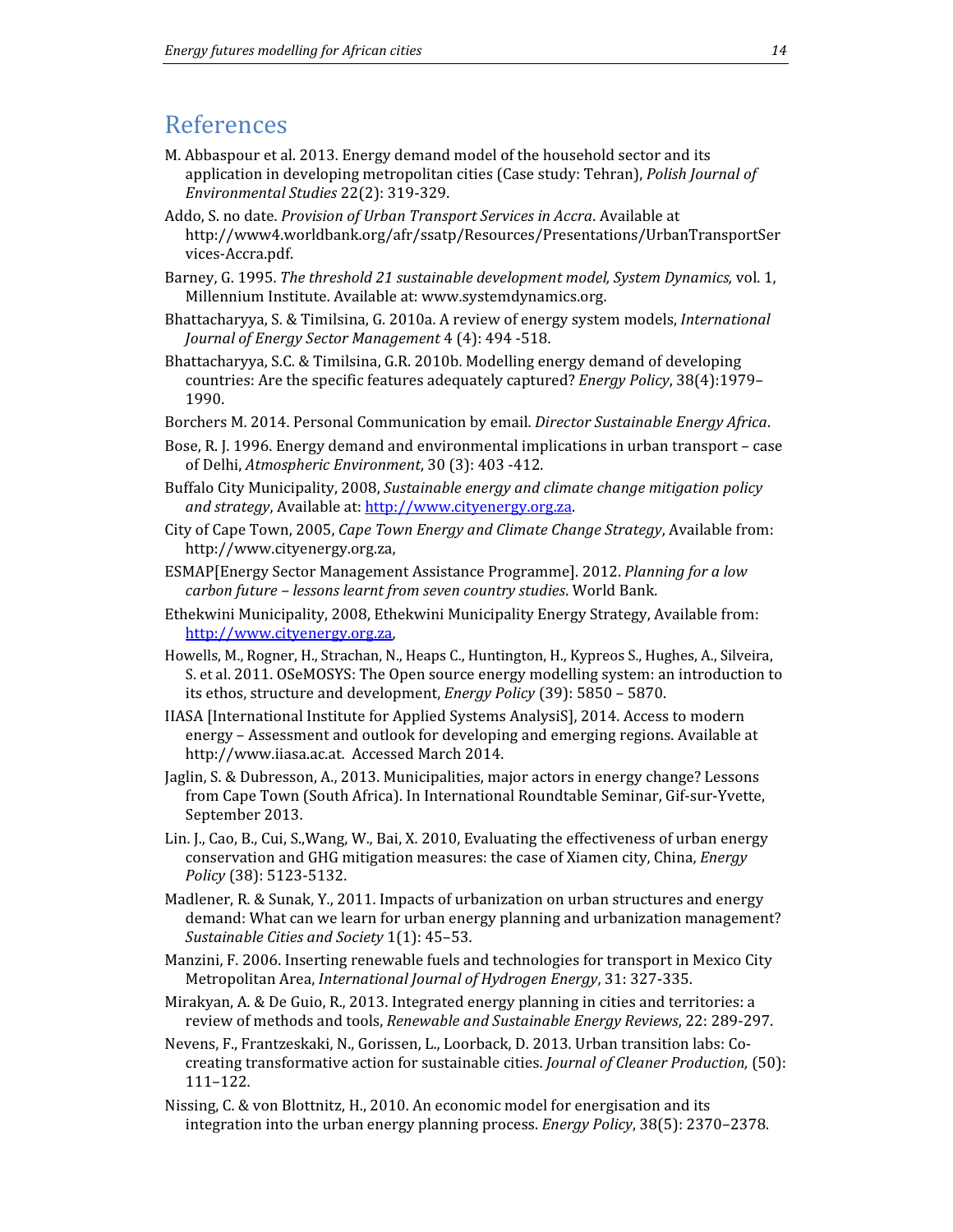### References

- M. Abbaspour et al. 2013. Energy demand model of the household sector and its application in developing metropolitan cities (Case study: Tehran), Polish Journal of Environmental Studies 22(2): 319-329.
- Addo, S. no date. Provision of Urban Transport Services in Accra. Available at http://www4.worldbank.org/afr/ssatp/Resources/Presentations/UrbanTransportSer vices-Accra.pdf.
- Barney, G. 1995. The threshold 21 sustainable development model, System Dynamics, vol. 1, Millennium Institute. Available at: www.systemdynamics.org.
- Bhattacharyya, S. & Timilsina, G. 2010a. A review of energy system models, International Journal of Energy Sector Management 4 (4): 494 -518.
- Bhattacharyya, S.C. & Timilsina, G.R. 2010b. Modelling energy demand of developing countries: Are the specific features adequately captured? Energy Policy, 38(4):1979– 1990.
- Borchers M. 2014. Personal Communication by email. Director Sustainable Energy Africa.
- Bose, R. J. 1996. Energy demand and environmental implications in urban transport case of Delhi, Atmospheric Environment, 30 (3): 403 -412.
- Buffalo City Municipality, 2008, Sustainable energy and climate change mitigation policy and strategy, Available at: http://www.cityenergy.org.za.
- City of Cape Town, 2005, Cape Town Energy and Climate Change Strategy, Available from: http://www.cityenergy.org.za,
- ESMAP[Energy Sector Management Assistance Programme]. 2012. Planning for a low carbon future – lessons learnt from seven country studies. World Bank.
- Ethekwini Municipality, 2008, Ethekwini Municipality Energy Strategy, Available from: http://www.cityenergy.org.za,
- Howells, M., Rogner, H., Strachan, N., Heaps C., Huntington, H., Kypreos S., Hughes, A., Silveira, S. et al. 2011. OSeMOSYS: The Open source energy modelling system: an introduction to its ethos, structure and development, Energy Policy (39): 5850 – 5870.
- IIASA [International Institute for Applied Systems AnalysiS], 2014. Access to modern energy – Assessment and outlook for developing and emerging regions. Available at http://www.iiasa.ac.at. Accessed March 2014.
- Jaglin, S. & Dubresson, A., 2013. Municipalities, major actors in energy change? Lessons from Cape Town (South Africa). In International Roundtable Seminar, Gif-sur-Yvette, September 2013.
- Lin. J., Cao, B., Cui, S.,Wang, W., Bai, X. 2010, Evaluating the effectiveness of urban energy conservation and GHG mitigation measures: the case of Xiamen city, China, Energy Policy (38): 5123-5132.
- Madlener, R. & Sunak, Y., 2011. Impacts of urbanization on urban structures and energy demand: What can we learn for urban energy planning and urbanization management? Sustainable Cities and Society 1(1): 45–53.
- Manzini, F. 2006. Inserting renewable fuels and technologies for transport in Mexico City Metropolitan Area, International Journal of Hydrogen Energy, 31: 327-335.
- Mirakyan, A. & De Guio, R., 2013. Integrated energy planning in cities and territories: a review of methods and tools, Renewable and Sustainable Energy Reviews, 22: 289-297.
- Nevens, F., Frantzeskaki, N., Gorissen, L., Loorback, D. 2013. Urban transition labs: Cocreating transformative action for sustainable cities. Journal of Cleaner Production, (50): 111–122.
- Nissing, C. & von Blottnitz, H., 2010. An economic model for energisation and its integration into the urban energy planning process. Energy Policy, 38(5): 2370–2378.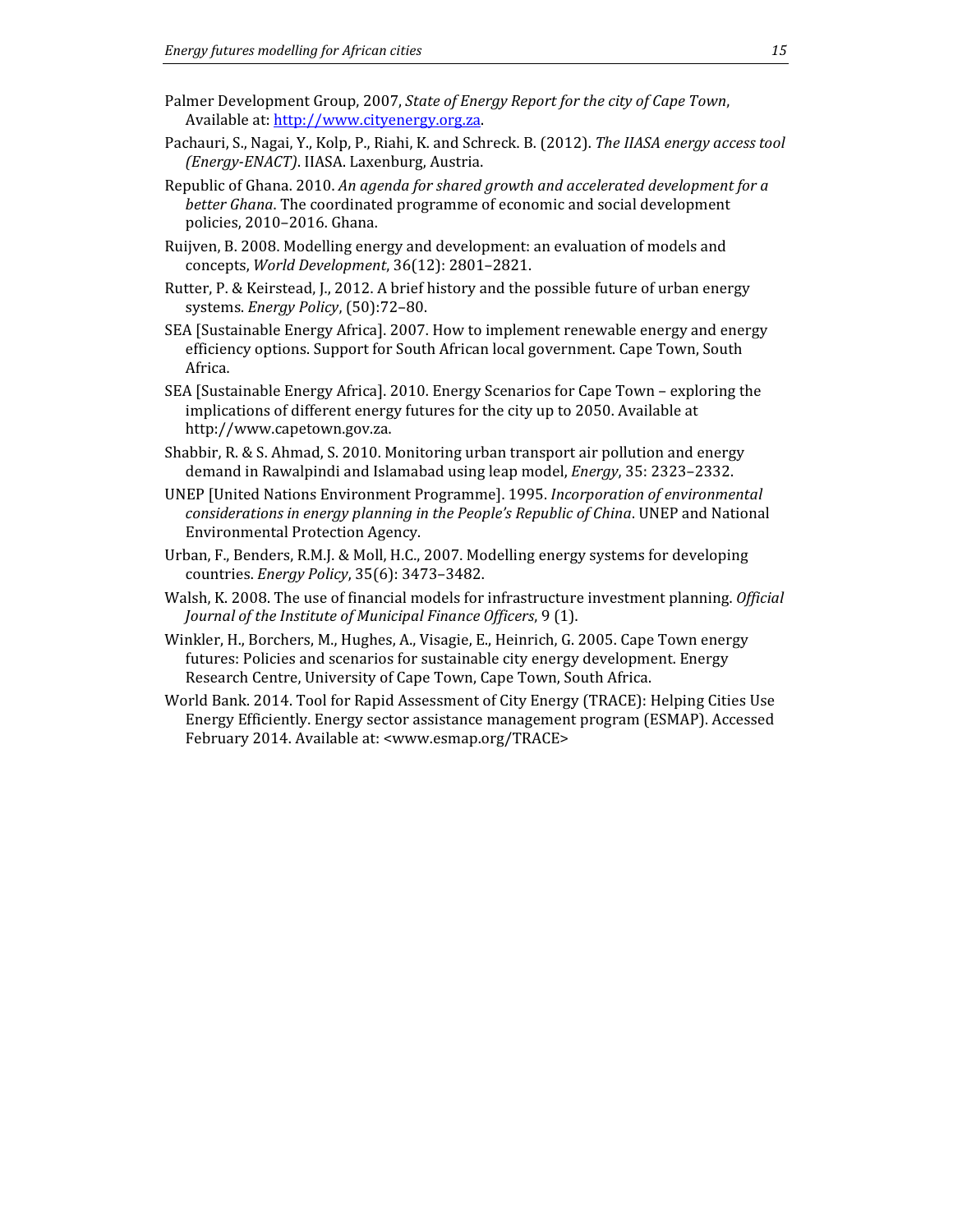- Palmer Development Group, 2007, State of Energy Report for the city of Cape Town, Available at: http://www.cityenergy.org.za.
- Pachauri, S., Nagai, Y., Kolp, P., Riahi, K. and Schreck. B. (2012). The IIASA energy access tool (Energy-ENACT). IIASA. Laxenburg, Austria.
- Republic of Ghana. 2010. An agenda for shared growth and accelerated development for a better Ghana. The coordinated programme of economic and social development policies, 2010–2016. Ghana.
- Ruijven, B. 2008. Modelling energy and development: an evaluation of models and concepts, World Development, 36(12): 2801–2821.
- Rutter, P. & Keirstead, J., 2012. A brief history and the possible future of urban energy systems. Energy Policy, (50):72–80.
- SEA [Sustainable Energy Africa]. 2007. How to implement renewable energy and energy efficiency options. Support for South African local government. Cape Town, South Africa.
- SEA [Sustainable Energy Africa]. 2010. Energy Scenarios for Cape Town exploring the implications of different energy futures for the city up to 2050. Available at http://www.capetown.gov.za.
- Shabbir, R. & S. Ahmad, S. 2010. Monitoring urban transport air pollution and energy demand in Rawalpindi and Islamabad using leap model, Energy, 35: 2323–2332.
- UNEP [United Nations Environment Programme]. 1995. Incorporation of environmental considerations in energy planning in the People's Republic of China. UNEP and National Environmental Protection Agency.
- Urban, F., Benders, R.M.J. & Moll, H.C., 2007. Modelling energy systems for developing countries. Energy Policy, 35(6): 3473–3482.
- Walsh, K. 2008. The use of financial models for infrastructure investment planning. Official Journal of the Institute of Municipal Finance Officers, 9 (1).
- Winkler, H., Borchers, M., Hughes, A., Visagie, E., Heinrich, G. 2005. Cape Town energy futures: Policies and scenarios for sustainable city energy development. Energy Research Centre, University of Cape Town, Cape Town, South Africa.
- World Bank. 2014. Tool for Rapid Assessment of City Energy (TRACE): Helping Cities Use Energy Efficiently. Energy sector assistance management program (ESMAP). Accessed February 2014. Available at: <www.esmap.org/TRACE>